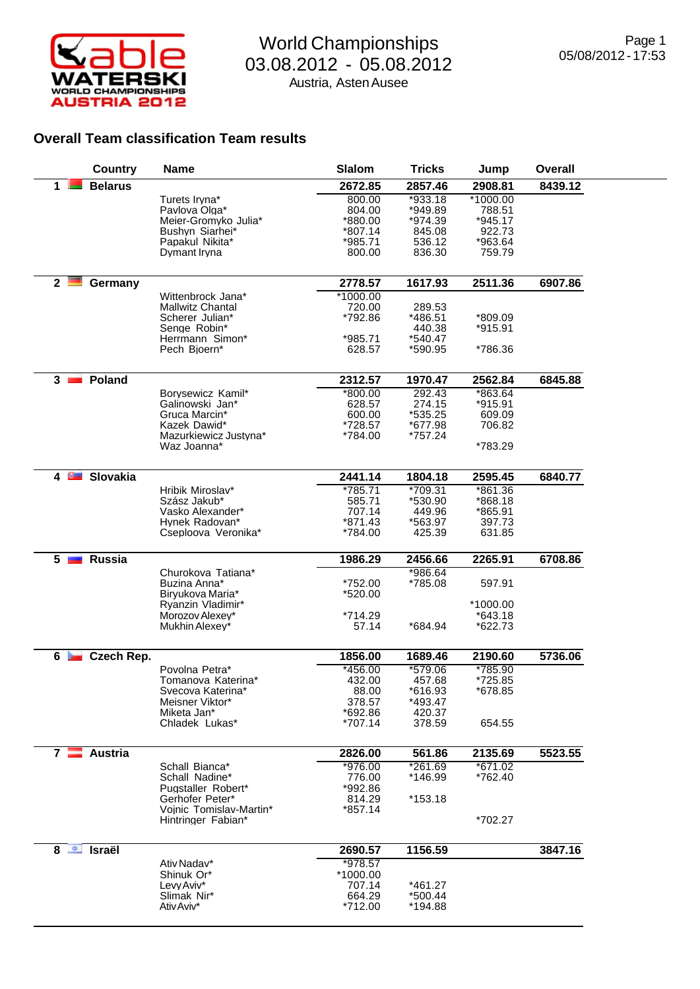

## World Championships 03.08.2012 - 05.08.2012 Austria, Asten Ausee

## **Overall Team classification Team results**

| <b>Country</b>                  | <b>Name</b>                                | <b>Slalom</b>       | <b>Tricks</b>      | Jump                | <b>Overall</b> |
|---------------------------------|--------------------------------------------|---------------------|--------------------|---------------------|----------------|
| <b>Belarus</b><br>1.            |                                            | 2672.85             | 2857.46            | 2908.81             | 8439.12        |
|                                 | Turets Iryna*                              | 800.00              | $*933.18$          | $*1000.00$          |                |
|                                 | Pavlova Olga*<br>Meier-Gromyko Julia*      | 804.00<br>*880.00   | *949.89<br>*974.39 | 788.51<br>$*945.17$ |                |
|                                 | Bushyn Siarhei*                            | *807.14             | 845.08             | 922.73              |                |
|                                 | Papakul Nikita*                            | *985.71             | 536.12             | *963.64             |                |
|                                 | Dymant Iryna                               | 800.00              | 836.30             | 759.79              |                |
|                                 |                                            |                     |                    |                     |                |
| 2 <sup>1</sup><br>Germany       |                                            | 2778.57             | 1617.93            | 2511.36             | 6907.86        |
|                                 | Wittenbrock Jana*                          | $*1000.00$          |                    |                     |                |
|                                 | Mallwitz Chantal<br>Scherer Julian*        | 720.00<br>*792.86   | 289.53<br>*486.51  | *809.09             |                |
|                                 | Senge Robin*                               |                     | 440.38             | *915.91             |                |
|                                 | Herrmann Simon*                            | *985.71             | *540.47            |                     |                |
|                                 | Pech Bioern*                               | 628.57              | *590.95            | *786.36             |                |
|                                 |                                            |                     |                    |                     |                |
| Poland<br>3 <sub>1</sub>        |                                            | 2312.57             | 1970.47            | 2562.84             | 6845.88        |
|                                 | Borysewicz Kamil*<br>Galinowski Jan*       | $*800.00$<br>628.57 | 292.43<br>274.15   | *863.64<br>*915.91  |                |
|                                 | Gruca Marcin*                              | 600.00              | *535.25            | 609.09              |                |
|                                 | Kazek Dawid*                               | *728.57             | *677.98            | 706.82              |                |
|                                 | Mazurkiewicz Justyna*                      | *784.00             | *757.24            |                     |                |
|                                 | Waz Joanna*                                |                     |                    | *783.29             |                |
| Slovakia<br>4 <b>P</b>          |                                            | 2441.14             | 1804.18            | 2595.45             | 6840.77        |
|                                 | Hribik Miroslav*                           | $*785.71$           | $*709.31$          | $*861.36$           |                |
|                                 | Szász Jakub*                               | 585.71              | *530.90            | *868.18             |                |
|                                 | Vasko Alexander*                           | 707.14              | 449.96             | *865.91             |                |
|                                 | Hynek Radovan*<br>Cseploova Veronika*      | *871.43<br>*784.00  | *563.97<br>425.39  | 397.73<br>631.85    |                |
|                                 |                                            |                     |                    |                     |                |
| <b>Russia</b><br>5 <sub>1</sub> |                                            | 1986.29             | 2456.66            | 2265.91             | 6708.86        |
|                                 | Churokova Tatiana*                         |                     | $*986.64$          |                     |                |
|                                 | Buzina Anna*<br>Biryukova Maria*           | *752.00<br>*520.00  | *785.08            | 597.91              |                |
|                                 | Ryanzin Vladimir*                          |                     |                    | *1000.00            |                |
|                                 | Morozov Alexey*                            | *714.29             |                    | *643.18             |                |
|                                 | Mukhin Alexey*                             | 57.14               | *684.94            | *622.73             |                |
| Czech Rep.<br>6 <b>Feb</b>      |                                            | 1856.00             | 1689.46            | 2190.60             | 5736.06        |
|                                 | Povolna Petra*                             | $*456.00$           | *579.06            | *785.90             |                |
|                                 | Tomanova Katerina*                         | 432.00              | 457.68             | *725.85             |                |
|                                 | Svecova Katerina*                          | 88.00               | *616.93            | *678.85             |                |
|                                 | Meisner Viktor*                            | 378.57              | *493.47            |                     |                |
|                                 | Miketa Jan*<br>Chladek Lukas*              | *692.86<br>*707.14  | 420.37<br>378.59   | 654.55              |                |
|                                 |                                            |                     |                    |                     |                |
| Austria<br>$7 \equiv$           |                                            | 2826.00             | 561.86             | 2135.69             | 5523.55        |
|                                 | Schall Bianca*                             | *976.00             | $*261.69$          | $*671.02$           |                |
|                                 | Schall Nadine*                             | 776.00              | *146.99            | *762.40             |                |
|                                 | Pugstaller Robert*                         | *992.86             |                    |                     |                |
|                                 | Gerhofer Peter*<br>Vojnic Tomislav-Martin* | 814.29<br>$*857.14$ | $*153.18$          |                     |                |
|                                 | Hintringer Fabian*                         |                     |                    | *702.27             |                |
|                                 |                                            |                     |                    |                     |                |
| $8 \nightharpoonup$ Israël      |                                            | 2690.57             | 1156.59            |                     | 3847.16        |
|                                 | Ativ Nadav*                                | *978.57             |                    |                     |                |
|                                 | Shinuk Or*<br>Levy Aviv*                   | *1000.00<br>707.14  | *461.27            |                     |                |
|                                 | Slimak Nir*                                | 664.29              | *500.44            |                     |                |
|                                 | Ativ Aviv*                                 | *712.00             | *194.88            |                     |                |